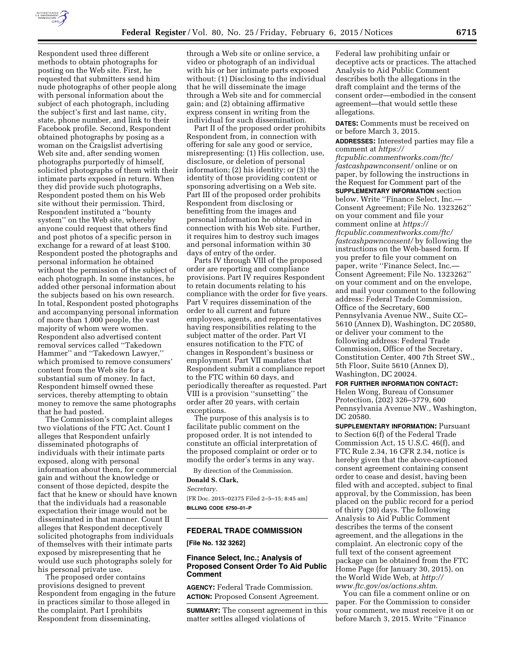

Respondent used three different methods to obtain photographs for posting on the Web site. First, he requested that submitters send him nude photographs of other people along with personal information about the subject of each photograph, including the subject's first and last name, city, state, phone number, and link to their Facebook profile. Second, Respondent obtained photographs by posing as a woman on the Craigslist advertising Web site and, after sending women photographs purportedly of himself, solicited photographs of them with their intimate parts exposed in return. When they did provide such photographs, Respondent posted them on his Web site without their permission. Third, Respondent instituted a ''bounty system'' on the Web site, whereby anyone could request that others find and post photos of a specific person in exchange for a reward of at least \$100. Respondent posted the photographs and personal information he obtained without the permission of the subject of each photograph. In some instances, he added other personal information about the subjects based on his own research. In total, Respondent posted photographs and accompanying personal information of more than 1,000 people, the vast majority of whom were women. Respondent also advertised content removal services called ''Takedown Hammer'' and ''Takedown Lawyer,'' which promised to remove consumers' content from the Web site for a substantial sum of money. In fact, Respondent himself owned these services, thereby attempting to obtain money to remove the same photographs that he had posted.

The Commission's complaint alleges two violations of the FTC Act. Count I alleges that Respondent unfairly disseminated photographs of individuals with their intimate parts exposed, along with personal information about them, for commercial gain and without the knowledge or consent of those depicted, despite the fact that he knew or should have known that the individuals had a reasonable expectation their image would not be disseminated in that manner. Count II alleges that Respondent deceptively solicited photographs from individuals of themselves with their intimate parts exposed by misrepresenting that he would use such photographs solely for his personal private use.

The proposed order contains provisions designed to prevent Respondent from engaging in the future in practices similar to those alleged in the complaint. Part I prohibits Respondent from disseminating,

through a Web site or online service, a video or photograph of an individual with his or her intimate parts exposed without: (1) Disclosing to the individual that he will disseminate the image through a Web site and for commercial gain; and (2) obtaining affirmative express consent in writing from the individual for such dissemination.

Part II of the proposed order prohibits Respondent from, in connection with offering for sale any good or service, misrepresenting: (1) His collection, use, disclosure, or deletion of personal information; (2) his identity; or (3) the identity of those providing content or sponsoring advertising on a Web site. Part III of the proposed order prohibits Respondent from disclosing or benefitting from the images and personal information he obtained in connection with his Web site. Further, it requires him to destroy such images and personal information within 30 days of entry of the order.

Parts IV through VIII of the proposed order are reporting and compliance provisions. Part IV requires Respondent to retain documents relating to his compliance with the order for five years. Part V requires dissemination of the order to all current and future employees, agents, and representatives having responsibilities relating to the subject matter of the order. Part VI ensures notification to the FTC of changes in Respondent's business or employment. Part VII mandates that Respondent submit a compliance report to the FTC within 60 days, and periodically thereafter as requested. Part VIII is a provision ''sunsetting'' the order after 20 years, with certain exceptions.

The purpose of this analysis is to facilitate public comment on the proposed order. It is not intended to constitute an official interpretation of the proposed complaint or order or to modify the order's terms in any way.

By direction of the Commission.

**Donald S. Clark,** 

*Secretary.* 

[FR Doc. 2015–02375 Filed 2–5–15; 8:45 am] **BILLING CODE 6750–01–P** 

## **FEDERAL TRADE COMMISSION**

**[File No. 132 3262]** 

#### **Finance Select, Inc.; Analysis of Proposed Consent Order To Aid Public Comment**

**AGENCY:** Federal Trade Commission. **ACTION:** Proposed Consent Agreement.

**SUMMARY:** The consent agreement in this matter settles alleged violations of

Federal law prohibiting unfair or deceptive acts or practices. The attached Analysis to Aid Public Comment describes both the allegations in the draft complaint and the terms of the consent order—embodied in the consent agreement—that would settle these allegations.

**DATES:** Comments must be received on or before March 3, 2015.

**ADDRESSES:** Interested parties may file a comment at *[https://](https://ftcpublic.commentworks.com/ftc/fastcashpawnconsent/)*

*[ftcpublic.commentworks.com/ftc/](https://ftcpublic.commentworks.com/ftc/fastcashpawnconsent/) [fastcashpawnconsent/](https://ftcpublic.commentworks.com/ftc/fastcashpawnconsent/)* online or on paper, by following the instructions in the Request for Comment part of the **SUPPLEMENTARY INFORMATION** section below. Write ''Finance Select, Inc.— Consent Agreement; File No. 1323262'' on your comment and file your comment online at *[https://](https://ftcpublic.commentworks.com/ftc/fastcashpawnconsent/) [ftcpublic.commentworks.com/ftc/](https://ftcpublic.commentworks.com/ftc/fastcashpawnconsent/) [fastcashpawnconsent/](https://ftcpublic.commentworks.com/ftc/fastcashpawnconsent/)* by following the instructions on the Web-based form. If you prefer to file your comment on paper, write ''Finance Select, Inc.— Consent Agreement; File No. 1323262'' on your comment and on the envelope, and mail your comment to the following address: Federal Trade Commission, Office of the Secretary, 600 Pennsylvania Avenue NW., Suite CC– 5610 (Annex D), Washington, DC 20580, or deliver your comment to the following address: Federal Trade Commission, Office of the Secretary, Constitution Center, 400 7th Street SW., 5th Floor, Suite 5610 (Annex D), Washington, DC 20024.

**FOR FURTHER INFORMATION CONTACT:**  Helen Wong, Bureau of Consumer Protection, (202) 326–3779, 600 Pennsylvania Avenue NW., Washington, DC 20580.

**SUPPLEMENTARY INFORMATION:** Pursuant to Section 6(f) of the Federal Trade Commission Act, 15 U.S.C. 46(f), and FTC Rule 2.34, 16 CFR 2.34, notice is hereby given that the above-captioned consent agreement containing consent order to cease and desist, having been filed with and accepted, subject to final approval, by the Commission, has been placed on the public record for a period of thirty (30) days. The following Analysis to Aid Public Comment describes the terms of the consent agreement, and the allegations in the complaint. An electronic copy of the full text of the consent agreement package can be obtained from the FTC Home Page (for January 30, 2015), on the World Wide Web, at *[http://](http://www.ftc.gov/os/actions.shtm) [www.ftc.gov/os/actions.shtm](http://www.ftc.gov/os/actions.shtm)*.

You can file a comment online or on paper. For the Commission to consider your comment, we must receive it on or before March 3, 2015. Write ''Finance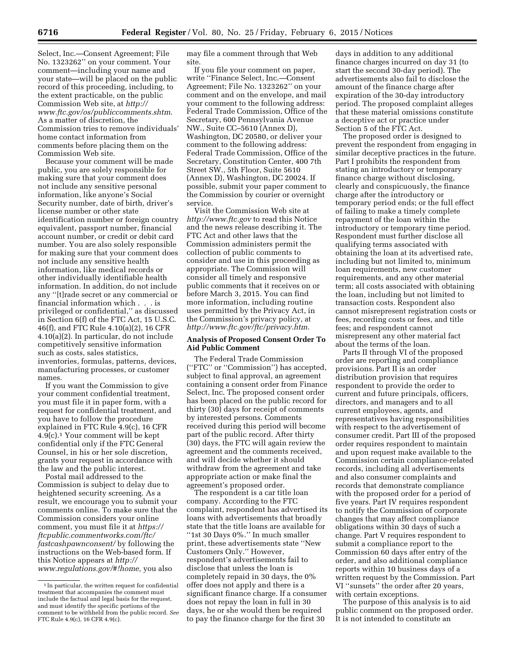Select, Inc.—Consent Agreement; File No. 1323262'' on your comment. Your comment—including your name and your state—will be placed on the public record of this proceeding, including, to the extent practicable, on the public Commission Web site, at *[http://](http://www.ftc.gov/os/publiccomments.shtm) [www.ftc.gov/os/publiccomments.shtm](http://www.ftc.gov/os/publiccomments.shtm)*. As a matter of discretion, the Commission tries to remove individuals' home contact information from comments before placing them on the Commission Web site.

Because your comment will be made public, you are solely responsible for making sure that your comment does not include any sensitive personal information, like anyone's Social Security number, date of birth, driver's license number or other state identification number or foreign country equivalent, passport number, financial account number, or credit or debit card number. You are also solely responsible for making sure that your comment does not include any sensitive health information, like medical records or other individually identifiable health information. In addition, do not include any ''[t]rade secret or any commercial or financial information which . . . is privileged or confidential,'' as discussed in Section 6(f) of the FTC Act, 15 U.S.C. 46(f), and FTC Rule 4.10(a)(2), 16 CFR 4.10(a)(2). In particular, do not include competitively sensitive information such as costs, sales statistics, inventories, formulas, patterns, devices, manufacturing processes, or customer names.

If you want the Commission to give your comment confidential treatment, you must file it in paper form, with a request for confidential treatment, and you have to follow the procedure explained in FTC Rule 4.9(c), 16 CFR 4.9(c).1 Your comment will be kept confidential only if the FTC General Counsel, in his or her sole discretion, grants your request in accordance with the law and the public interest.

Postal mail addressed to the Commission is subject to delay due to heightened security screening. As a result, we encourage you to submit your comments online. To make sure that the Commission considers your online comment, you must file it at *[https://](https://ftcpublic.commentworks.com/ftc/fastcashpawnconsent/) [ftcpublic.commentworks.com/ftc/](https://ftcpublic.commentworks.com/ftc/fastcashpawnconsent/) [fastcashpawnconsent/](https://ftcpublic.commentworks.com/ftc/fastcashpawnconsent/)* by following the instructions on the Web-based form. If this Notice appears at *[http://](http://www.regulations.gov/#!home) [www.regulations.gov/#!home,](http://www.regulations.gov/#!home)* you also

may file a comment through that Web site.

If you file your comment on paper, write ''Finance Select, Inc.—Consent Agreement; File No. 1323262'' on your comment and on the envelope, and mail your comment to the following address: Federal Trade Commission, Office of the Secretary, 600 Pennsylvania Avenue NW., Suite CC–5610 (Annex D), Washington, DC 20580, or deliver your comment to the following address: Federal Trade Commission, Office of the Secretary, Constitution Center, 400 7th Street SW., 5th Floor, Suite 5610 (Annex D), Washington, DC 20024. If possible, submit your paper comment to the Commission by courier or overnight service.

Visit the Commission Web site at *<http://www.ftc.gov>*to read this Notice and the news release describing it. The FTC Act and other laws that the Commission administers permit the collection of public comments to consider and use in this proceeding as appropriate. The Commission will consider all timely and responsive public comments that it receives on or before March 3, 2015. You can find more information, including routine uses permitted by the Privacy Act, in the Commission's privacy policy, at *<http://www.ftc.gov/ftc/privacy.htm>*.

## **Analysis of Proposed Consent Order To Aid Public Comment**

The Federal Trade Commission (''FTC'' or ''Commission'') has accepted, subject to final approval, an agreement containing a consent order from Finance Select, Inc. The proposed consent order has been placed on the public record for thirty (30) days for receipt of comments by interested persons. Comments received during this period will become part of the public record. After thirty (30) days, the FTC will again review the agreement and the comments received, and will decide whether it should withdraw from the agreement and take appropriate action or make final the agreement's proposed order.

The respondent is a car title loan company. According to the FTC complaint, respondent has advertised its loans with advertisements that broadly state that the title loans are available for ''1st 30 Days 0%.'' In much smaller print, these advertisements state ''New Customers Only.'' However, respondent's advertisements fail to disclose that unless the loan is completely repaid in 30 days, the 0% offer does not apply and there is a significant finance charge. If a consumer does not repay the loan in full in 30 days, he or she would then be required to pay the finance charge for the first 30

days in addition to any additional finance charges incurred on day 31 (to start the second 30-day period). The advertisements also fail to disclose the amount of the finance charge after expiration of the 30-day introductory period. The proposed complaint alleges that these material omissions constitute a deceptive act or practice under Section 5 of the FTC Act.

The proposed order is designed to prevent the respondent from engaging in similar deceptive practices in the future. Part I prohibits the respondent from stating an introductory or temporary finance charge without disclosing, clearly and conspicuously, the finance charge after the introductory or temporary period ends; or the full effect of failing to make a timely complete repayment of the loan within the introductory or temporary time period. Respondent must further disclose all qualifying terms associated with obtaining the loan at its advertised rate, including but not limited to, minimum loan requirements, new customer requirements, and any other material term; all costs associated with obtaining the loan, including but not limited to transaction costs. Respondent also cannot misrepresent registration costs or fees, recording costs or fees, and title fees; and respondent cannot misrepresent any other material fact about the terms of the loan.

Parts II through VI of the proposed order are reporting and compliance provisions. Part II is an order distribution provision that requires respondent to provide the order to current and future principals, officers, directors, and managers and to all current employees, agents, and representatives having responsibilities with respect to the advertisement of consumer credit. Part III of the proposed order requires respondent to maintain and upon request make available to the Commission certain compliance-related records, including all advertisements and also consumer complaints and records that demonstrate compliance with the proposed order for a period of five years. Part IV requires respondent to notify the Commission of corporate changes that may affect compliance obligations within 30 days of such a change. Part V requires respondent to submit a compliance report to the Commission 60 days after entry of the order, and also additional compliance reports within 10 business days of a written request by the Commission. Part VI ''sunsets'' the order after 20 years, with certain exceptions.

The purpose of this analysis is to aid public comment on the proposed order. It is not intended to constitute an

<sup>1</sup> In particular, the written request for confidential treatment that accompanies the comment must include the factual and legal basis for the request, and must identify the specific portions of the comment to be withheld from the public record. *See*  FTC Rule 4.9(c), 16 CFR 4.9(c).